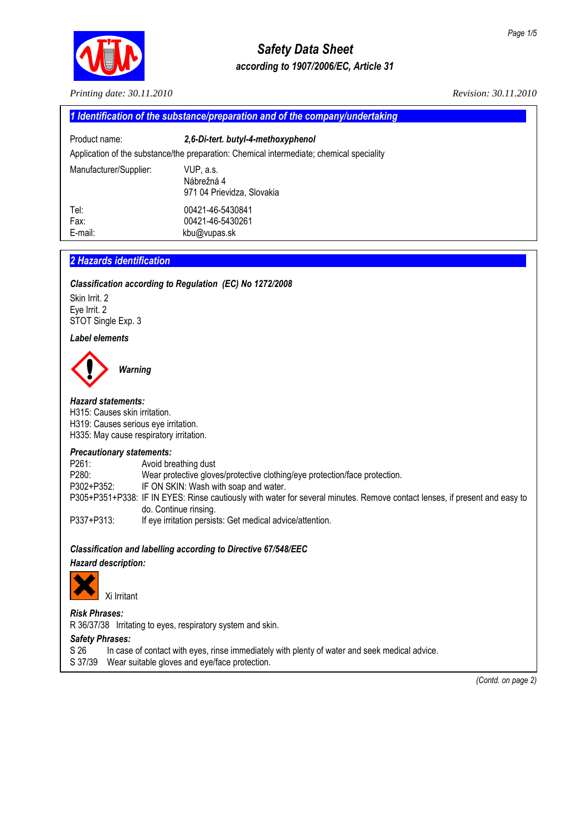

# *Safety Data Sheet according to 1907/2006/EC, Article 31*

*Printing date: 30.11.2010 Revision: 30.11.2010* 

| 1 Identification of the substance/preparation and of the company/undertaking |                                                                                          |  |  |  |
|------------------------------------------------------------------------------|------------------------------------------------------------------------------------------|--|--|--|
| Product name:                                                                | 2,6-Di-tert. butyl-4-methoxyphenol                                                       |  |  |  |
|                                                                              | Application of the substance/the preparation: Chemical intermediate; chemical speciality |  |  |  |
| Manufacturer/Supplier:                                                       | VUP, a.s.<br>Nábrežná 4<br>971 04 Prievidza, Slovakia                                    |  |  |  |
| Tel:<br>Fax:<br>E-mail:                                                      | 00421-46-5430841<br>00421-46-5430261<br>kbu@vupas.sk                                     |  |  |  |

# **2 Hazards identification**

### *Classification according to Regulation (EC) No 1272/2008*

Skin Irrit. 2 Eye Irrit. 2 STOT Single Exp. 3

### *Label elements*



*Hazard statements:*  H315: Causes skin irritation. H319: Causes serious eye irritation. H335: May cause respiratory irritation.

#### *Precautionary statements:*

P261: Avoid breathing dust<br>P280: Wear protective glove Wear protective gloves/protective clothing/eye protection/face protection. P302+P352: IF ON SKIN: Wash with soap and water. P305+P351+P338: IF IN EYES: Rinse cautiously with water for several minutes. Remove contact lenses, if present and easy to do. Continue rinsing. P337+P313: If eye irritation persists: Get medical advice/attention.

### *Classification and labelling according to Directive 67/548/EEC*

#### *Hazard description:*



Xi Irritant

# *Risk Phrases:*

R 36/37/38 Irritating to eyes, respiratory system and skin.

#### *Safety Phrases:*

- S 26 In case of contact with eyes, rinse immediately with plenty of water and seek medical advice.
- S 37/39 Wear suitable gloves and eye/face protection.

*(Contd. on page 2)*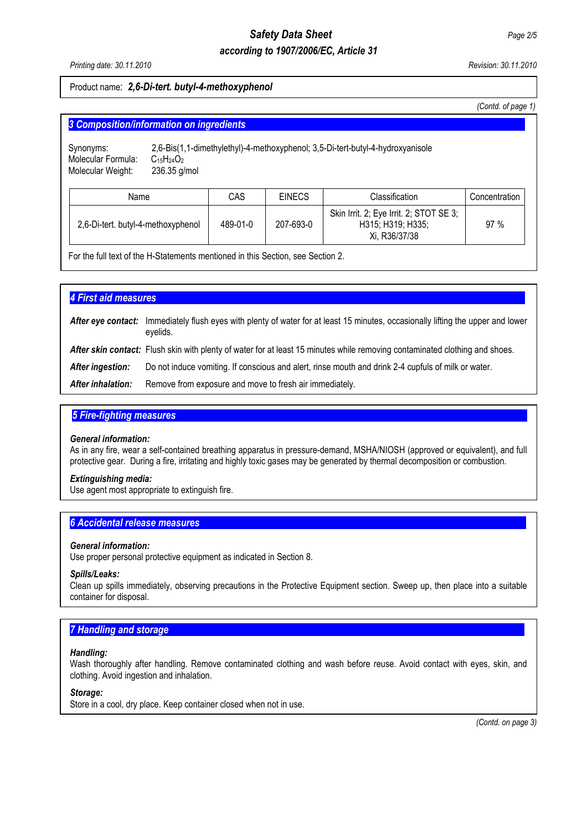# *Safety Data Sheet Page 2/5*

# *according to 1907/2006/EC, Article 31*

#### Product name: *2,6-Di-tert. butyl-4-methoxyphenol*

 *(Contd. of page 1)*

| Synonyms:<br>Molecular Formula:<br>Molecular Weight: | 2,6-Bis(1,1-dimethylethyl)-4-methoxyphenol; 3,5-Di-tert-butyl-4-hydroxyanisole<br>$C_{15}H_{24}O_2$<br>$236.35$ g/mol |          |               |                                                                               |               |
|------------------------------------------------------|-----------------------------------------------------------------------------------------------------------------------|----------|---------------|-------------------------------------------------------------------------------|---------------|
| Name                                                 |                                                                                                                       | CAS      | <b>EINECS</b> | Classification                                                                | Concentration |
| 2,6-Di-tert. butyl-4-methoxyphenol                   |                                                                                                                       | 489-01-0 | 207-693-0     | Skin Irrit. 2; Eye Irrit. 2; STOT SE 3;<br>H315; H319; H335;<br>Xi, R36/37/38 | 97%           |

**4 First aid measures** After eye contact: Immediately flush eyes with plenty of water for at least 15 minutes, occasionally lifting the upper and lower eyelids. After skin contact: Flush skin with plenty of water for at least 15 minutes while removing contaminated clothing and shoes. *After ingestion:* Do not induce vomiting. If conscious and alert, rinse mouth and drink 2-4 cupfuls of milk or water. *After inhalation:* Remove from exposure and move to fresh air immediately.

## **5 Fire-fighting measures**

#### *General information:*

As in any fire, wear a self-contained breathing apparatus in pressure-demand, MSHA/NIOSH (approved or equivalent), and full protective gear. During a fire, irritating and highly toxic gases may be generated by thermal decomposition or combustion.

#### *Extinguishing media:*

Use agent most appropriate to extinguish fire.

#### **6 Accidental release measures**

#### *General information:*

Use proper personal protective equipment as indicated in Section 8.

#### *Spills/Leaks:*

Clean up spills immediately, observing precautions in the Protective Equipment section. Sweep up, then place into a suitable container for disposal.

# **7 Handling and storage**

#### *Handling:*

Wash thoroughly after handling. Remove contaminated clothing and wash before reuse. Avoid contact with eyes, skin, and clothing. Avoid ingestion and inhalation.

# *Storage:*

Store in a cool, dry place. Keep container closed when not in use.

 *(Contd. on page 3)*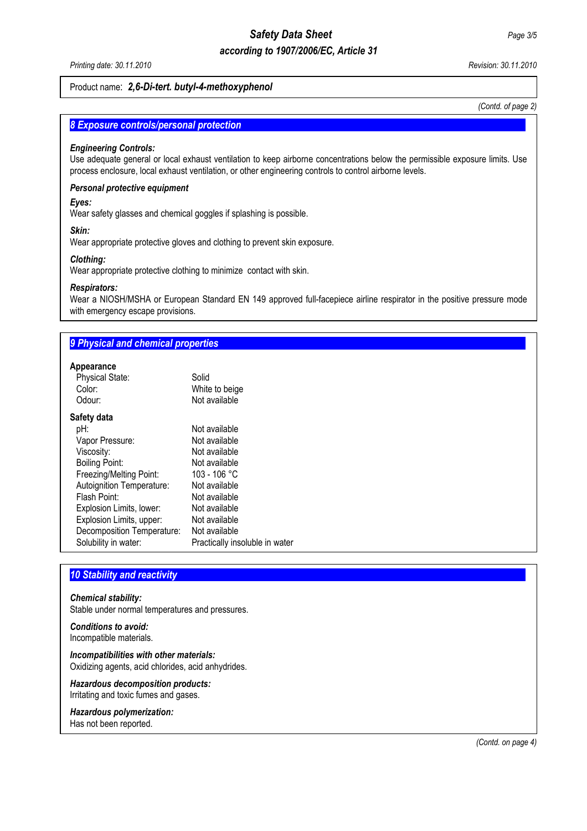# *Safety Data Sheet Page 3/5*

# *according to 1907/2006/EC, Article 31*

#### Product name: *2,6-Di-tert. butyl-4-methoxyphenol*

*(Contd. of page 2)*

## **8 Exposure controls/personal protection**

#### *Engineering Controls:*

Use adequate general or local exhaust ventilation to keep airborne concentrations below the permissible exposure limits. Use process enclosure, local exhaust ventilation, or other engineering controls to control airborne levels.

#### *Personal protective equipment*

#### *Eyes:*

Wear safety glasses and chemical goggles if splashing is possible.

#### *Skin:*

Wear appropriate protective gloves and clothing to prevent skin exposure.

#### *Clothing:*

Wear appropriate protective clothing to minimize contact with skin.

#### *Respirators:*

Wear a NIOSH/MSHA or European Standard EN 149 approved full-facepiece airline respirator in the positive pressure mode with emergency escape provisions.

# **9 Physical and chemical properties**

# **Appearance**

| <b>Physical State:</b>     | Solid                          |
|----------------------------|--------------------------------|
| Color:                     | White to beige                 |
| Odour:                     | Not available                  |
| Safety data                |                                |
| pH:                        | Not available                  |
| Vapor Pressure:            | Not available                  |
| Viscosity:                 | Not available                  |
| <b>Boiling Point:</b>      | Not available                  |
| Freezing/Melting Point:    | 103 - 106 °C                   |
| Autoignition Temperature:  | Not available                  |
| Flash Point:               | Not available                  |
| Explosion Limits, lower:   | Not available                  |
| Explosion Limits, upper:   | Not available                  |
| Decomposition Temperature: | Not available                  |
| Solubility in water:       | Practically insoluble in water |
|                            |                                |

# **10 Stability and reactivity**

#### *Chemical stability:*

Stable under normal temperatures and pressures.

#### *Conditions to avoid:*  Incompatible materials.

*Incompatibilities with other materials:*  Oxidizing agents, acid chlorides, acid anhydrides.

*Hazardous decomposition products:*  Irritating and toxic fumes and gases.

#### *Hazardous polymerization:*

Has not been reported.

 *(Contd. on page 4)*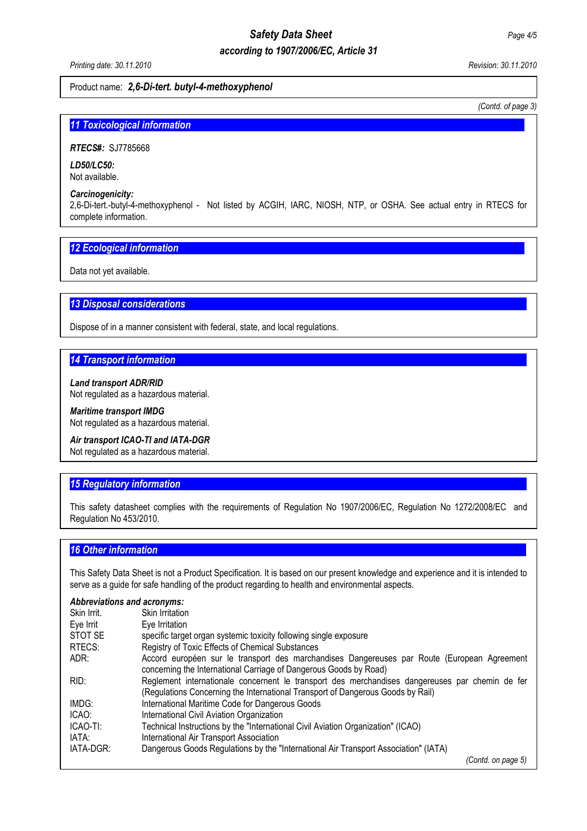# *Safety Data Sheet Page 4/5*

# *according to 1907/2006/EC, Article 31*

#### Product name: *2,6-Di-tert. butyl-4-methoxyphenol*

*(Contd. of page 3)*

## **11 Toxicological information**

*RTECS#:*SJ7785668

*LD50/LC50:*  Not available.

#### *Carcinogenicity:*

2,6-Di-tert.-butyl-4-methoxyphenol - Not listed by ACGIH, IARC, NIOSH, NTP, or OSHA. See actual entry in RTECS for complete information.

# **12 Ecological information**

Data not yet available.

# **13 Disposal considerations**

Dispose of in a manner consistent with federal, state, and local regulations.

## **14 Transport information**

*Land transport ADR/RID*  Not regulated as a hazardous material.

#### *Maritime transport IMDG*  Not regulated as a hazardous material.

*Air transport ICAO-TI and IATA-DGR* 

Not regulated as a hazardous material.

# **15 Regulatory information**

This safety datasheet complies with the requirements of Regulation No 1907/2006/EC, Regulation No 1272/2008/EC and Regulation No 453/2010.

#### *16 Other information.....................................................................................................................................................*

This Safety Data Sheet is not a Product Specification. It is based on our present knowledge and experience and it is intended to serve as a guide for safe handling of the product regarding to health and environmental aspects.

#### *Abbreviations and acronyms:*

| Skin Irrit. | Skin Irritation                                                                                                                                                                    |
|-------------|------------------------------------------------------------------------------------------------------------------------------------------------------------------------------------|
| Eye Irrit   | Eye Irritation                                                                                                                                                                     |
| STOT SE     | specific target organ systemic toxicity following single exposure                                                                                                                  |
| RTECS:      | Registry of Toxic Effects of Chemical Substances                                                                                                                                   |
| ADR:        | Accord européen sur le transport des marchandises Dangereuses par Route (European Agreement<br>concerning the International Carriage of Dangerous Goods by Road)                   |
| RID:        | Reglement internationale concernent le transport des merchandises dangereuses par chemin de fer<br>(Regulations Concerning the International Transport of Dangerous Goods by Rail) |
| IMDG:       | International Maritime Code for Dangerous Goods                                                                                                                                    |
| ICAO:       | International Civil Aviation Organization                                                                                                                                          |
| ICAO-TI:    | Technical Instructions by the "International Civil Aviation Organization" (ICAO)                                                                                                   |
| IATA:       | International Air Transport Association                                                                                                                                            |
| IATA-DGR:   | Dangerous Goods Regulations by the "International Air Transport Association" (IATA)                                                                                                |
|             | (Contd. on page 5)                                                                                                                                                                 |